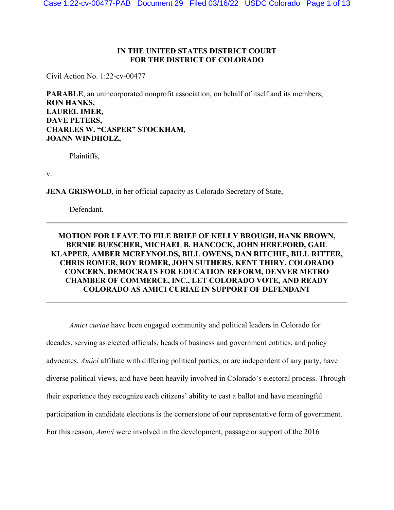## **IN THE UNITED STATES DISTRICT COURT FOR THE DISTRICT OF COLORADO**

Civil Action No. 1:22-cv-00477

**PARABLE**, an unincorporated nonprofit association, on behalf of itself and its members; **RON HANKS, LAUREL IMER, DAVE PETERS, CHARLES W. "CASPER" STOCKHAM, JOANN WINDHOLZ,**

Plaintiffs,

v.

**JENA GRISWOLD**, in her official capacity as Colorado Secretary of State,

Defendant.

## **MOTION FOR LEAVE TO FILE BRIEF OF KELLY BROUGH, HANK BROWN, BERNIE BUESCHER, MICHAEL B. HANCOCK, JOHN HEREFORD, GAIL KLAPPER, AMBER MCREYNOLDS, BILL OWENS, DAN RITCHIE, BILL RITTER, CHRIS ROMER, ROY ROMER, JOHN SUTHERS, KENT THIRY, COLORADO CONCERN, DEMOCRATS FOR EDUCATION REFORM, DENVER METRO CHAMBER OF COMMERCE, INC., LET COLORADO VOTE, AND READY COLORADO AS AMICI CURIAE IN SUPPORT OF DEFENDANT**

*Amici curiae* have been engaged community and political leaders in Colorado for decades, serving as elected officials, heads of business and government entities, and policy advocates. *Amici* affiliate with differing political parties, or are independent of any party, have diverse political views, and have been heavily involved in Colorado's electoral process. Through their experience they recognize each citizens' ability to cast a ballot and have meaningful participation in candidate elections is the cornerstone of our representative form of government. For this reason, *Amici* were involved in the development, passage or support of the 2016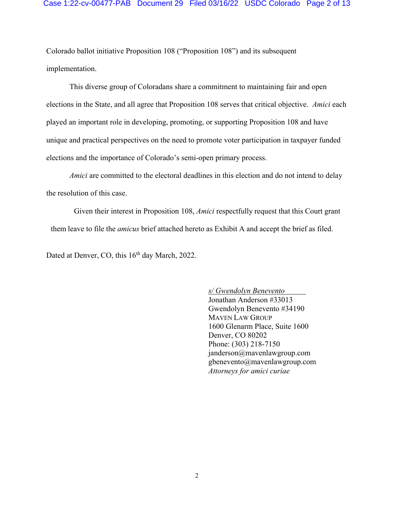#### Case 1:22-cv-00477-PAB Document 29 Filed 03/16/22 USDC Colorado Page 2 of 13

Colorado ballot initiative Proposition 108 ("Proposition 108") and its subsequent implementation.

This diverse group of Coloradans share a commitment to maintaining fair and open elections in the State, and all agree that Proposition 108 serves that critical objective. *Amici* each played an important role in developing, promoting, or supporting Proposition 108 and have unique and practical perspectives on the need to promote voter participation in taxpayer funded elections and the importance of Colorado's semi-open primary process.

*Amici* are committed to the electoral deadlines in this election and do not intend to delay the resolution of this case.

Given their interest in Proposition 108, *Amici* respectfully request that this Court grant them leave to file the *amicus* brief attached hereto as Exhibit A and accept the brief as filed.

Dated at Denver, CO, this 16<sup>th</sup> day March, 2022.

*s/ Gwendolyn Benevento*  Jonathan Anderson #33013 Gwendolyn Benevento #34190 MAVEN LAW GROUP 1600 Glenarm Place, Suite 1600 Denver, CO 80202 Phone: (303) 218-7150 janderson@mavenlawgroup.com gbenevento@mavenlawgroup.com *Attorneys for amici curiae*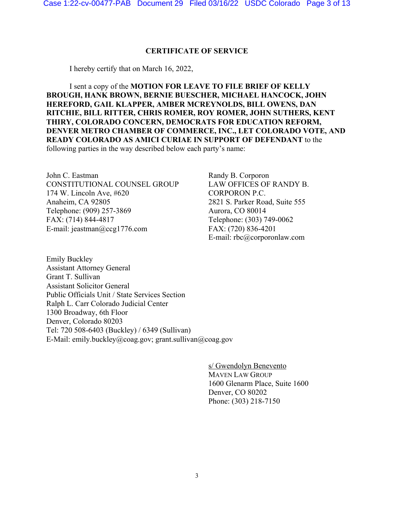## **CERTIFICATE OF SERVICE**

I hereby certify that on March 16, 2022,

I sent a copy of the **MOTION FOR LEAVE TO FILE BRIEF OF KELLY BROUGH, HANK BROWN, BERNIE BUESCHER, MICHAEL HANCOCK, JOHN HEREFORD, GAIL KLAPPER, AMBER MCREYNOLDS, BILL OWENS, DAN RITCHIE, BILL RITTER, CHRIS ROMER, ROY ROMER, JOHN SUTHERS, KENT THIRY, COLORADO CONCERN, DEMOCRATS FOR EDUCATION REFORM, DENVER METRO CHAMBER OF COMMERCE, INC., LET COLORADO VOTE, AND READY COLORADO AS AMICI CURIAE IN SUPPORT OF DEFENDANT** to the following parties in the way described below each party's name:

John C. Eastman CONSTITUTIONAL COUNSEL GROUP 174 W. Lincoln Ave, #620 Anaheim, CA 92805 Telephone: (909) 257-3869 FAX: (714) 844-4817 E-mail: jeastman@ccg1776.com

Randy B. Corporon LAW OFFICES OF RANDY B. CORPORON P.C. 2821 S. Parker Road, Suite 555 Aurora, CO 80014 Telephone: (303) 749-0062 FAX: (720) 836-4201 E-mail: rbc@corporonlaw.com

Emily Buckley Assistant Attorney General Grant T. Sullivan Assistant Solicitor General Public Officials Unit / State Services Section Ralph L. Carr Colorado Judicial Center 1300 Broadway, 6th Floor Denver, Colorado 80203 Tel: 720 508-6403 (Buckley) / 6349 (Sullivan) E-Mail: emily.buckley@coag.gov; grant.sullivan@coag.gov

> s/ Gwendolyn Benevento MAVEN LAW GROUP 1600 Glenarm Place, Suite 1600 Denver, CO 80202 Phone: (303) 218-7150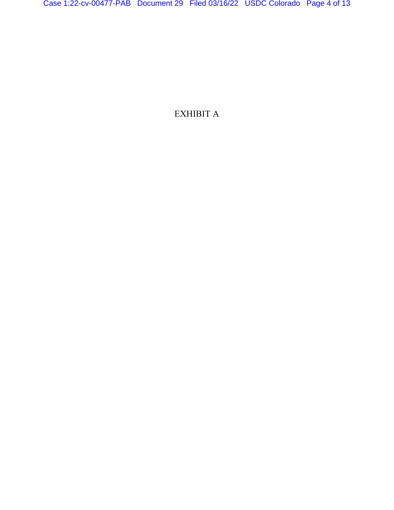EXHIBIT A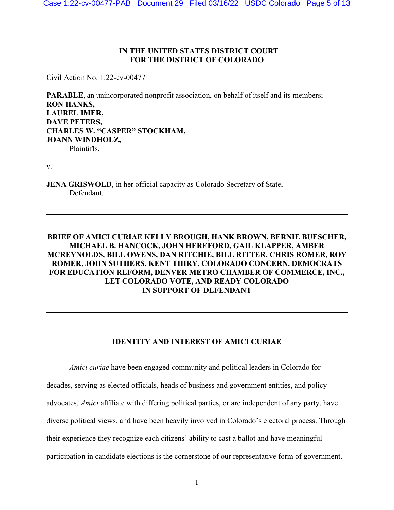## **IN THE UNITED STATES DISTRICT COURT FOR THE DISTRICT OF COLORADO**

Civil Action No. 1:22-cv-00477

**PARABLE**, an unincorporated nonprofit association, on behalf of itself and its members; **RON HANKS, LAUREL IMER, DAVE PETERS, CHARLES W. "CASPER" STOCKHAM, JOANN WINDHOLZ,** Plaintiffs,

v.

**JENA GRISWOLD**, in her official capacity as Colorado Secretary of State, Defendant.

## **BRIEF OF AMICI CURIAE KELLY BROUGH, HANK BROWN, BERNIE BUESCHER, MICHAEL B. HANCOCK, JOHN HEREFORD, GAIL KLAPPER, AMBER MCREYNOLDS, BILL OWENS, DAN RITCHIE, BILL RITTER, CHRIS ROMER, ROY ROMER, JOHN SUTHERS, KENT THIRY, COLORADO CONCERN, DEMOCRATS FOR EDUCATION REFORM, DENVER METRO CHAMBER OF COMMERCE, INC., LET COLORADO VOTE, AND READY COLORADO IN SUPPORT OF DEFENDANT**

### **IDENTITY AND INTEREST OF AMICI CURIAE**

*Amici curiae* have been engaged community and political leaders in Colorado for decades, serving as elected officials, heads of business and government entities, and policy advocates. *Amici* affiliate with differing political parties, or are independent of any party, have diverse political views, and have been heavily involved in Colorado's electoral process. Through their experience they recognize each citizens' ability to cast a ballot and have meaningful participation in candidate elections is the cornerstone of our representative form of government.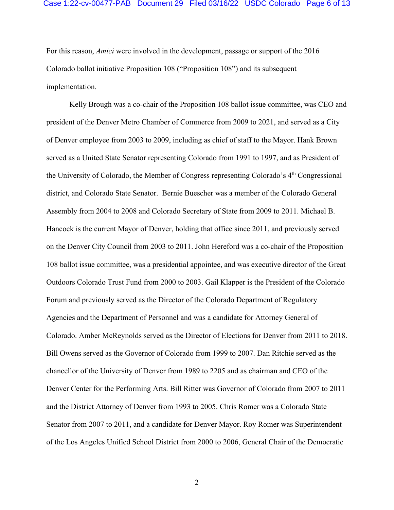#### Case 1:22-cv-00477-PAB Document 29 Filed 03/16/22 USDC Colorado Page 6 of 13

For this reason, *Amici* were involved in the development, passage or support of the 2016 Colorado ballot initiative Proposition 108 ("Proposition 108") and its subsequent implementation.

Kelly Brough was a co-chair of the Proposition 108 ballot issue committee, was CEO and president of the Denver Metro Chamber of Commerce from 2009 to 2021, and served as a City of Denver employee from 2003 to 2009, including as chief of staff to the Mayor. Hank Brown served as a United State Senator representing Colorado from 1991 to 1997, and as President of the University of Colorado, the Member of Congress representing Colorado's  $4<sup>th</sup>$  Congressional district, and Colorado State Senator. Bernie Buescher was a member of the Colorado General Assembly from 2004 to 2008 and Colorado Secretary of State from 2009 to 2011. Michael B. Hancock is the current Mayor of Denver, holding that office since 2011, and previously served on the Denver City Council from 2003 to 2011. John Hereford was a co-chair of the Proposition 108 ballot issue committee, was a presidential appointee, and was executive director of the Great Outdoors Colorado Trust Fund from 2000 to 2003. Gail Klapper is the President of the Colorado Forum and previously served as the Director of the Colorado Department of Regulatory Agencies and the Department of Personnel and was a candidate for Attorney General of Colorado. Amber McReynolds served as the Director of Elections for Denver from 2011 to 2018. Bill Owens served as the Governor of Colorado from 1999 to 2007. Dan Ritchie served as the chancellor of the University of Denver from 1989 to 2205 and as chairman and CEO of the Denver Center for the Performing Arts. Bill Ritter was Governor of Colorado from 2007 to 2011 and the District Attorney of Denver from 1993 to 2005. Chris Romer was a Colorado State Senator from 2007 to 2011, and a candidate for Denver Mayor. Roy Romer was Superintendent of the Los Angeles Unified School District from 2000 to 2006, General Chair of the Democratic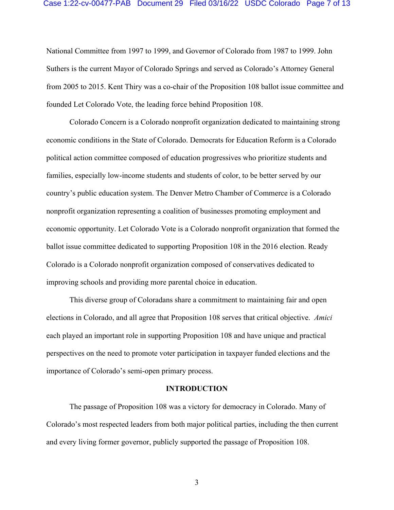#### Case 1:22-cv-00477-PAB Document 29 Filed 03/16/22 USDC Colorado Page 7 of 13

National Committee from 1997 to 1999, and Governor of Colorado from 1987 to 1999. John Suthers is the current Mayor of Colorado Springs and served as Colorado's Attorney General from 2005 to 2015. Kent Thiry was a co-chair of the Proposition 108 ballot issue committee and founded Let Colorado Vote, the leading force behind Proposition 108.

Colorado Concern is a Colorado nonprofit organization dedicated to maintaining strong economic conditions in the State of Colorado. Democrats for Education Reform is a Colorado political action committee composed of education progressives who prioritize students and families, especially low-income students and students of color, to be better served by our country's public education system. The Denver Metro Chamber of Commerce is a Colorado nonprofit organization representing a coalition of businesses promoting employment and economic opportunity. Let Colorado Vote is a Colorado nonprofit organization that formed the ballot issue committee dedicated to supporting Proposition 108 in the 2016 election. Ready Colorado is a Colorado nonprofit organization composed of conservatives dedicated to improving schools and providing more parental choice in education.

This diverse group of Coloradans share a commitment to maintaining fair and open elections in Colorado, and all agree that Proposition 108 serves that critical objective. *Amici* each played an important role in supporting Proposition 108 and have unique and practical perspectives on the need to promote voter participation in taxpayer funded elections and the importance of Colorado's semi-open primary process.

#### **INTRODUCTION**

The passage of Proposition 108 was a victory for democracy in Colorado. Many of Colorado's most respected leaders from both major political parties, including the then current and every living former governor, publicly supported the passage of Proposition 108.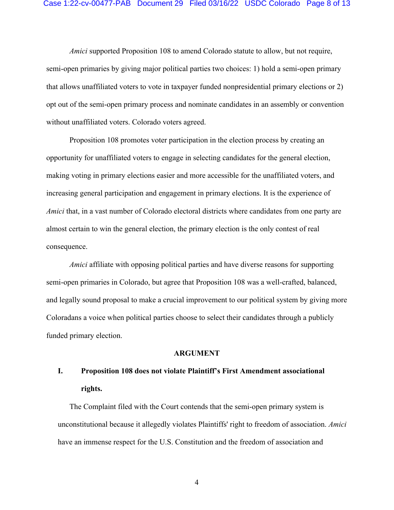#### Case 1:22-cv-00477-PAB Document 29 Filed 03/16/22 USDC Colorado Page 8 of 13

*Amici* supported Proposition 108 to amend Colorado statute to allow, but not require, semi-open primaries by giving major political parties two choices: 1) hold a semi-open primary that allows unaffiliated voters to vote in taxpayer funded nonpresidential primary elections or 2) opt out of the semi-open primary process and nominate candidates in an assembly or convention without unaffiliated voters. Colorado voters agreed.

Proposition 108 promotes voter participation in the election process by creating an opportunity for unaffiliated voters to engage in selecting candidates for the general election, making voting in primary elections easier and more accessible for the unaffiliated voters, and increasing general participation and engagement in primary elections. It is the experience of *Amici* that, in a vast number of Colorado electoral districts where candidates from one party are almost certain to win the general election, the primary election is the only contest of real consequence.

*Amici* affiliate with opposing political parties and have diverse reasons for supporting semi-open primaries in Colorado, but agree that Proposition 108 was a well-crafted, balanced, and legally sound proposal to make a crucial improvement to our political system by giving more Coloradans a voice when political parties choose to select their candidates through a publicly funded primary election.

#### **ARGUMENT**

# **I. Proposition 108 does not violate Plaintiff's First Amendment associational rights.**

The Complaint filed with the Court contends that the semi-open primary system is unconstitutional because it allegedly violates Plaintiffs' right to freedom of association. *Amici* have an immense respect for the U.S. Constitution and the freedom of association and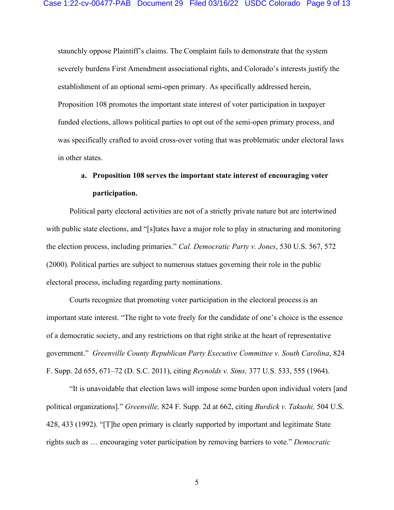staunchly oppose Plaintiff's claims. The Complaint fails to demonstrate that the system severely burdens First Amendment associational rights, and Colorado's interests justify the establishment of an optional semi-open primary. As specifically addressed herein, Proposition 108 promotes the important state interest of voter participation in taxpayer funded elections, allows political parties to opt out of the semi-open primary process, and was specifically crafted to avoid cross-over voting that was problematic under electoral laws in other states.

# **a. Proposition 108 serves the important state interest of encouraging voter participation.**

Political party electoral activities are not of a strictly private nature but are intertwined with public state elections, and "[s]tates have a major role to play in structuring and monitoring the election process, including primaries." *Cal. Democratic Party v. Jones*, 530 U.S. 567, 572 (2000). Political parties are subject to numerous statues governing their role in the public electoral process, including regarding party nominations.

Courts recognize that promoting voter participation in the electoral process is an important state interest. "The right to vote freely for the candidate of one's choice is the essence of a democratic society, and any restrictions on that right strike at the heart of representative government." *Greenville County Republican Party Executive Committee v. South Carolina*, 824 F. Supp. 2d 655, 671–72 (D. S.C. 2011), citing *Reynolds v. Sims,* 377 U.S. 533, 555 (1964).

"It is unavoidable that election laws will impose some burden upon individual voters [and political organizations]." *Greenville,* 824 F. Supp. 2d at 662, citing *Burdick v. Takushi,* 504 U.S. 428, 433 (1992). "[T]he open primary is clearly supported by important and legitimate State rights such as … encouraging voter participation by removing barriers to vote." *Democratic*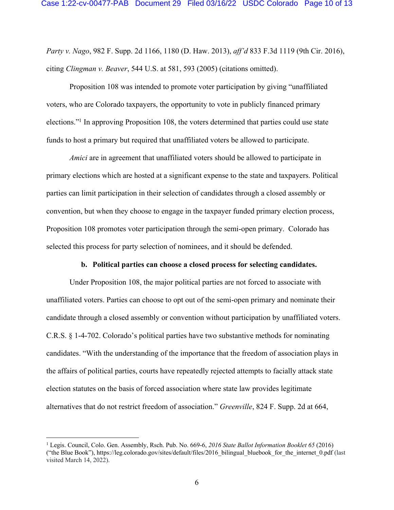*Party v. Nago*, 982 F. Supp. 2d 1166, 1180 (D. Haw. 2013), *aff'd* 833 F.3d 1119 (9th Cir. 2016), citing *Clingman v. Beaver*, 544 U.S. at 581, 593 (2005) (citations omitted).

Proposition 108 was intended to promote voter participation by giving "unaffiliated voters, who are Colorado taxpayers, the opportunity to vote in publicly financed primary elections."1 In approving Proposition 108, the voters determined that parties could use state funds to host a primary but required that unaffiliated voters be allowed to participate.

*Amici* are in agreement that unaffiliated voters should be allowed to participate in primary elections which are hosted at a significant expense to the state and taxpayers. Political parties can limit participation in their selection of candidates through a closed assembly or convention, but when they choose to engage in the taxpayer funded primary election process, Proposition 108 promotes voter participation through the semi-open primary. Colorado has selected this process for party selection of nominees, and it should be defended.

#### **b. Political parties can choose a closed process for selecting candidates.**

Under Proposition 108, the major political parties are not forced to associate with unaffiliated voters. Parties can choose to opt out of the semi-open primary and nominate their candidate through a closed assembly or convention without participation by unaffiliated voters. C.R.S. § 1-4-702. Colorado's political parties have two substantive methods for nominating candidates. "With the understanding of the importance that the freedom of association plays in the affairs of political parties, courts have repeatedly rejected attempts to facially attack state election statutes on the basis of forced association where state law provides legitimate alternatives that do not restrict freedom of association." *Greenville*, 824 F. Supp. 2d at 664,

<sup>1</sup> Legis. Council, Colo. Gen. Assembly, Rsch. Pub. No. 669-6, *2016 State Ballot Information Booklet 65* (2016) ("the Blue Book"), https://leg.colorado.gov/sites/default/files/2016\_bilingual\_bluebook\_for\_the\_internet\_0.pdf (last visited March 14, 2022).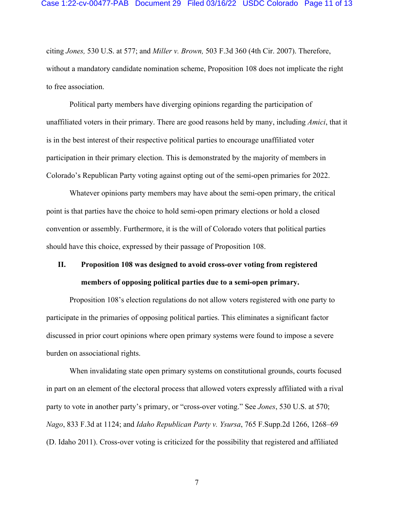citing *Jones,* 530 U.S. at 577; and *Miller v. Brown,* 503 F.3d 360 (4th Cir. 2007). Therefore, without a mandatory candidate nomination scheme, Proposition 108 does not implicate the right to free association.

Political party members have diverging opinions regarding the participation of unaffiliated voters in their primary. There are good reasons held by many, including *Amici*, that it is in the best interest of their respective political parties to encourage unaffiliated voter participation in their primary election. This is demonstrated by the majority of members in Colorado's Republican Party voting against opting out of the semi-open primaries for 2022.

Whatever opinions party members may have about the semi-open primary, the critical point is that parties have the choice to hold semi-open primary elections or hold a closed convention or assembly. Furthermore, it is the will of Colorado voters that political parties should have this choice, expressed by their passage of Proposition 108.

# **II. Proposition 108 was designed to avoid cross-over voting from registered members of opposing political parties due to a semi-open primary.**

Proposition 108's election regulations do not allow voters registered with one party to participate in the primaries of opposing political parties. This eliminates a significant factor discussed in prior court opinions where open primary systems were found to impose a severe burden on associational rights.

When invalidating state open primary systems on constitutional grounds, courts focused in part on an element of the electoral process that allowed voters expressly affiliated with a rival party to vote in another party's primary, or "cross-over voting." See *Jones*, 530 U.S. at 570; *Nago*, 833 F.3d at 1124; and *Idaho Republican Party v. Ysursa*, 765 F.Supp.2d 1266, 1268–69 (D. Idaho 2011). Cross-over voting is criticized for the possibility that registered and affiliated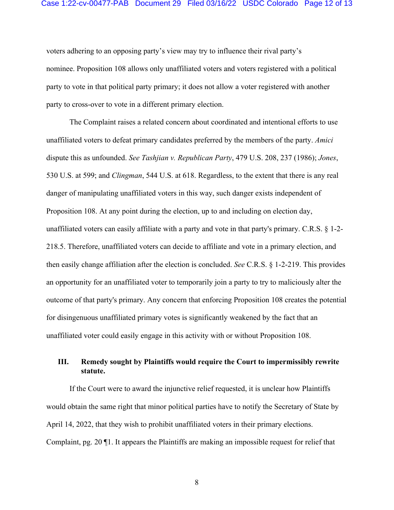#### Case 1:22-cv-00477-PAB Document 29 Filed 03/16/22 USDC Colorado Page 12 of 13

voters adhering to an opposing party's view may try to influence their rival party's nominee. Proposition 108 allows only unaffiliated voters and voters registered with a political party to vote in that political party primary; it does not allow a voter registered with another party to cross-over to vote in a different primary election.

The Complaint raises a related concern about coordinated and intentional efforts to use unaffiliated voters to defeat primary candidates preferred by the members of the party. *Amici* dispute this as unfounded. *See Tashjian v. Republican Party*, 479 U.S. 208, 237 (1986); *Jones*, 530 U.S. at 599; and *Clingman*, 544 U.S. at 618. Regardless, to the extent that there is any real danger of manipulating unaffiliated voters in this way, such danger exists independent of Proposition 108. At any point during the election, up to and including on election day, unaffiliated voters can easily affiliate with a party and vote in that party's primary. C.R.S. § 1-2- 218.5. Therefore, unaffiliated voters can decide to affiliate and vote in a primary election, and then easily change affiliation after the election is concluded. *See* C.R.S. § 1-2-219. This provides an opportunity for an unaffiliated voter to temporarily join a party to try to maliciously alter the outcome of that party's primary. Any concern that enforcing Proposition 108 creates the potential for disingenuous unaffiliated primary votes is significantly weakened by the fact that an unaffiliated voter could easily engage in this activity with or without Proposition 108.

## **III. Remedy sought by Plaintiffs would require the Court to impermissibly rewrite statute.**

If the Court were to award the injunctive relief requested, it is unclear how Plaintiffs would obtain the same right that minor political parties have to notify the Secretary of State by April 14, 2022, that they wish to prohibit unaffiliated voters in their primary elections. Complaint, pg. 20 ¶1. It appears the Plaintiffs are making an impossible request for relief that